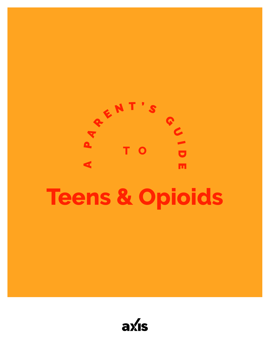

# **Teens & Opioids**

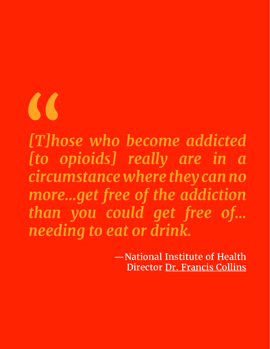"

*[T]hose who become addicted [to opioids] really are in a circumstance where they can no more…get free of the addiction than you could get free of… needing to eat or drink.*

> —National Institute of Health Director [Dr. Francis Collins](https://www.washingtonpost.com/video/postlive/nih-directorfrancis-collins-on-opioid-crisis-in-the-us/2017/09/20/cfb04e68-9e41-11e7-b2a7-bc70b6f98089_video.html)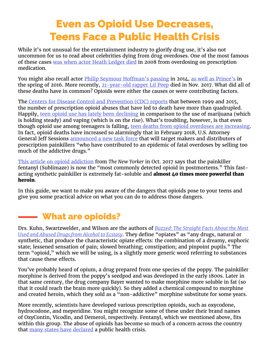## Even as Opioid Use Decreases, Teens Face a Public Health Crisis

While it's not unusual for the entertainment industry to glorify drug use, it's also not uncommon for us to read about celebrities dying from drug overdoses. One of the most famous of these cases [was when actor Heath Ledger died](http://www.telegraph.co.uk/news/worldnews/1577821/Heath-Ledger-died-of-accidental-drug-overdose.html) in 2008 from overdosing on prescription medication.

You might also recall actor *[Philip Seymour Hoffman's passing](http://www.cnn.com/2014/02/28/showbiz/philip-seymour-hoffman-autopsy/index.html) in 2014*, [as well as Prince's](http://www.cnn.com/2016/06/02/health/prince-death-opioid-overdose/index.html) in the spring of 2016. More recently, [21-year-old rapper Lil Peep](http://www.cnn.com/2017/11/16/politics/lil-peep-death-opioid-epidemic/index.html) died in Nov. 2017. What did all of these deaths have in common? Opioids were either the causes or were contributing factors.

The [Centers for Disease Control and Prevention \(CDC\) reports](https://www.cdc.gov/drugoverdose/epidemic/index.html) that between 1999 and 2015, the number of prescription opioid abuses that have led to death have more than quadrupled. Happily, [teen opioid use has lately been declining](https://www.youtube.com/watch?v=PQQhillaJwg) in comparison to the use of marijuana (which is holding steady) and vaping (which is on the rise). What's troubling, however, is that even though opioid use among teenagers is falling, [teen deaths from opioid overdoses are increasing](http://www.newsweek.com/heroin-and-fentanyl-are-killing-more-teenagers-even-drug-use-declines-651618). In fact, opioid deaths have increased so alarmingly that in February 2018, U.S. Attorney General Jeff Sessions [announced a new task force](https://www.cnbc.com/2018/02/27/attorney-general-jeff-sessions-announces-new-opiod-task-force.html) that will target makers and distributors of prescription painkillers "who have contributed to an epidemic of fatal overdoses by selling too much of the addictive drugs."

[This article on opioid addiction](https://www.newyorker.com/magazine/2017/10/30/faces-of-an-epidemic) from *The New Yorker* in Oct. 2017 says that the painkiller fentanyl (Sublimaze) is now the "most commonly detected opioid in postmortems." This fastacting synthetic painkiller is extremely fat-soluble and **almost 40 times more powerful than** heroin.

In this guide, we want to make you aware of the dangers that opioids pose to your teens and give you some practical advice on what you can do to address those dangers.

### What are opioids?

Drs. Kuhn, Swartzwelder, and Wilson are the authors of *[Buzzed: The Straight Facts About the Most](https://smile.amazon.com/Buzzed-Straight-Alcohol-Ecstasy-Revised/dp/0393344517/ref=sr_1_1?ie=UTF8&qid=1519840074&sr=8-1&keywords=Buzzed%3A+The+Straight+Facts+About+the+Most+Used+and+Abused+Drugs+from+Alcohol+to+Ecstasy)  [Used and Abused Drugs from Alcohol to Ecstasy](https://smile.amazon.com/Buzzed-Straight-Alcohol-Ecstasy-Revised/dp/0393344517/ref=sr_1_1?ie=UTF8&qid=1519840074&sr=8-1&keywords=Buzzed%3A+The+Straight+Facts+About+the+Most+Used+and+Abused+Drugs+from+Alcohol+to+Ecstasy)*. They define "opiates" as "any drugs, natural or synthetic, that produce the characteristic opiate effects: the combination of a dreamy, euphoric state; lessened sensation of pain; slowed breathing; constipation; and pinpoint pupils." The term "opioid," which we will be using, is a slightly more generic word referring to substances that cause these effects.

You've probably heard of opium, a drug prepared from one species of the poppy. The painkiller morphine is derived from the poppy's seedpod and was developed in the early 1800s. Later in that same century, the drug company Bayer wanted to make morphine more soluble in fat (so that it could reach the brain more quickly). So they added a chemical compound to morphine and created heroin, which they sold as a "non-addictive" morphine substitute for some years.

More recently, scientists have developed various prescription opioids, such as oxycodone, hydrocodone, and meperidine. You might recognize some of these under their brand names of OxyContin, Vicodin, and Demerol, respectively. Fentanyl, which we mentioned above, fits within this group. The abuse of opioids has become so much of a concern across the country that [many states have declared](http://www.mcall.com/news/nationworld/pennsylvania/mc-nws-opioid-disaster-states-20180111-story.html) a public health crisis.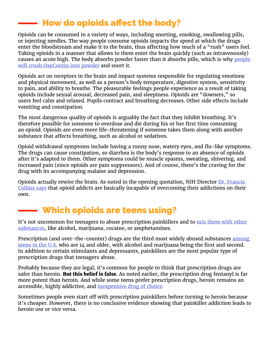### How do opioids affect the body?

Opioids can be consumed in a variety of ways, including snorting, smoking, swallowing pills, or injecting needles. The way people consume opioids impacts the speed at which the drugs enter the bloodstream and make it to the brain, thus affecting how much of a "rush" users feel. Taking opioids in a manner that allows to them enter the brain quickly (such as intravenously) causes an acute high. The body absorbs powder faster than it absorbs pills, which is why people [will crush OxyContin into powder](https://www.therecoveryvillage.com/oxycodone-addiction/snorting-oxycodone/#gref) and snort it.

Opioids act on receptors in the brain and impact systems responsible for regulating emotions and physical movement, as well as a person's body temperature, digestive system, sensitivity to pain, and ability to breathe. The pleasurable feelings people experience as a result of taking opioids include sexual arousal, decreased pain, and sleepiness. Opioids are "downers," so users feel calm and relaxed. Pupils contract and breathing decreases. Other side effects include vomiting and constipation.

The most dangerous quality of opioids is arguably the fact that they inhibit breathing. It's therefore possible for someone to overdose and die during his or her first time consuming an opioid. Opioids are even more life-threatening if someone takes them along with another substance that affects breathing, such as alcohol or sedatives.

Opioid withdrawal symptoms include having a runny nose, watery eyes, and flu-like symptoms. The drugs can cause constipation, so diarrhea is the body's response to an absence of opioids after it's adapted to them. Other symptoms could be muscle spasms, sweating, shivering, and increased pain (since opioids are pain suppressors). And of course, there's the craving for the drug with its accompanying malaise and depression.

Opioids actually rewire the brain. As noted in the opening quotation, NIH Director Dr. Francis [Collins says](https://www.washingtonpost.com/video/postlive/nih-directorfrancis-collins-on-opioid-crisis-in-the-us/2017/09/20/cfb04e68-9e41-11e7-b2a7-bc70b6f98089_video.html) that opioid addicts are basically incapable of overcoming their addictions on their own.

### Which opioids are teens using?

It's not uncommon for teenagers to abuse prescription painkillers and to mix them with other [substances](https://www.drugabuse.gov/related-topics/trends-statistics/infographics/teens-mix-prescription-opioids-other-substances), like alcohol, marijuana, cocaine, or amphetamines.

Prescription (and over-the-counter) drugs are the third most widely abused substances among [teens in the U.S.](https://www.drugabuse.gov/publications/drugfacts/prescription-over-counter-medications) who are 14 and older, with alcohol and marijuana being the first and second. In addition to certain stimulants and depressants, painkillers are the most popular type of prescription drugs that teenagers abuse.

Probably because they are legal, it's common for people to think that prescription drugs are safer than heroin. But this belief is false. As noted earlier, the prescription drug fentanyl is far more potent than heroin. And while some teens prefer prescription drugs, heroin remains an accessible, highly addictive, and [inexpensive drug of choice.](https://www.teenvogue.com/story/teen-heroin)

Sometimes people even start off with prescription painkillers before turning to heroin because it's cheaper. However, there is no conclusive evidence showing that painkiller addiction leads to heroin use or vice versa.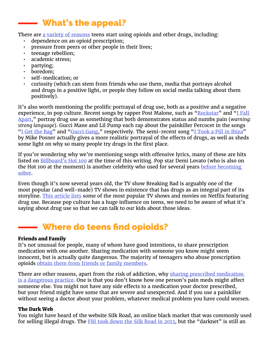### What's the appeal?

There are [a variety of reasons](https://www.dea.gov/pr/multimedia-library/publications/prescription_for_disaster_english.pdf) teens start using opioids and other drugs, including:

- dependence on an opioid prescription;
- pressure from peers or other people in their lives;
- teenage rebellion;
- academic stress;
- partying;
- boredom;
- self-medication; or
- curiosity (which can stem from friends who use them, media that portrays alcohol and drugs in a positive light, or people they follow on social media talking about them positively).

It's also worth mentioning the prolific portrayal of drug use, both as a positive and a negative experience, in pop culture. Recent songs by rapper Post Malone, such as " $Rockstar$ " and "I Fall [Apart](https://genius.com/Post-malone-i-fall-apart-lyrics)," portray drug use as something that both demonstrates status and numbs pain (*warning: strong language*). Gucci Mane and Lil Pump each rap about the painkiller Percocet in the songs "<u>I Get the Bag</u>" and ["Gucci Gang](https://genius.com/Lil-pump-gucci-gang-lyrics)," respectively. The semi-recent song ["I Took a Pill in Ibiza](https://genius.com/Mike-posner-i-took-a-pill-in-ibiza-lyrics)" by Mike Posner actually gives a more realistic portrayal of the effects of drugs, as well as sheds some light on why so many people try drugs in the first place.

If you're wondering why we're mentioning songs with offensive lyrics, many of these are hits listed on **[Billboard's Hot 100](https://www.billboard.com/charts/hot-100)** at the time of this writing. Pop star Demi Lovato (who is also on the Hot 100 at the moment) is another celebrity who used for several years before becoming [sober.](https://www.teenvogue.com/story/demi-lovato-4-years-sobriety)

Even though it's now several years old, the TV show Breaking Bad is arguably one of the most popular (and well-made) TV shows in existence that has drugs as an integral part of its storyline. [This article lists](https://www.cheatsheet.com/entertainment/best-drug-movies-and-tv-shows-on-netflix.html/?a=viewall) some of the most popular TV shows and movies on Netflix featuring drug use. Because pop culture has a huge influence on teens, we need to be aware of what it's saying about drug use so that we can talk to our kids about those ideas.

### Where do teens find opioids?

#### Friends and Family

It's not unusual for people, many of whom have good intentions, to share prescription medication with one another. Sharing medication with someone you know might seem innocent, but is actually quite dangerous. The majority of teenagers who abuse prescription opioids [obtain them from friends or family members](https://www.asam.org/docs/default-source/advocacy/opioid-addiction-disease-facts-figures.pdf).

There are other reasons, apart from the risk of addiction, why sharing prescribed medication [is a dangerous practice](https://teens.drugabuse.gov/blog/post/borrowing-drugs-risky-business). One is that you don't know how one person's pain meds might affect someone else. You might not have any side effects to a medication your doctor prescribed, but your friend might have some that are severe and unexpected. And if you use a painkiller without seeing a doctor about your problem, whatever medical problem you have could worsen.

#### The Dark Web

You might have heard of the website Silk Road, an online black market that was commonly used for selling illegal drugs. The [FBI took down the Silk Road in 2013,](https://www.wired.com/2013/11/silk-road/) but the "darknet" is still an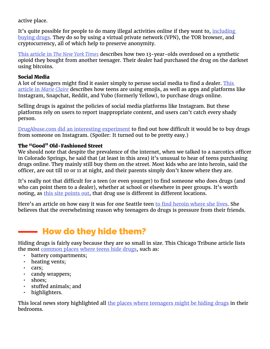active place.

It's quite possible for people to do many illegal activities online if they want to, *including* [buying drugs](https://www.deepdotweb.com/2015/12/30/buy-drugs-online-from-darknetmarkets/). They do so by using a virtual private network (VPN), the TOR browser, and cryptocurrency, all of which help to preserve anonymity.

This article in *[The New York Times](https://www.nytimes.com/2017/06/10/business/dealbook/opioid-dark-web-drug-overdose.html)* describes how two 13-year-olds overdosed on a synthetic opioid they bought from another teenager. Their dealer had purchased the drug on the darknet using bitcoins.

#### Social Media

A lot of teenagers might find it easier simply to peruse social media to find a dealer. This article in *[Marie Claire](http://www.marieclaire.co.uk/news/drugs-online-522945)* describes how teens are using emojis, as well as apps and platforms like Instagram, Snapchat, Reddit, and Yubo (formerly Yellow), to purchase drugs online.

Selling drugs is against the policies of social media platforms like Instagram. But these platforms rely on users to report inappropriate content, and users can't catch every shady person.

[DrugAbuse.com did an interesting experiment](https://drugabuse.com/featured/instagram-drug-dealers/) to find out how difficult it would be to buy drugs from someone on Instagram. (Spoiler: It turned out to be pretty easy.)

### The "Good" Old-Fashioned Street

We should note that despite the prevalence of the internet, when we talked to a narcotics officer in Colorado Springs, he said that (at least in this area) it's unusual to hear of teens purchasing drugs online. They mainly still buy them on the street. Most kids who are into heroin, said the officer, are out till 10 or 11 at night, and their parents simply don't know where they are.

It's really not that difficult for a teen (or even younger) to find someone who does drugs (and who can point them to a dealer), whether at school or elsewhere in peer groups. It's worth noting, as [this site points out](https://www.therecoveryvillage.com/teen-addiction/how-do-teens-get-drugs/#gref), that drug use is different in different locations.

Here's an article on how easy it was for one Seattle teen [to find heroin where she lives](http://www.inspirationsyouth.com/teen-heroin-abuse-investigative-report/). She believes that the overwhelming reason why teenagers do drugs is pressure from their friends.

### How do they hide them?

Hiding drugs is fairly easy because they are so small in size. This Chicago Tribune article lists the most [common places where teens hide drugs](http://www.chicagotribune.com/news/opinion/commentary/ct-teens-drugs-hiding-places-20170501-story.html), such as:

- battery compartments;
- heating vents;
- cars;
- candy wrappers;
- shoes;
- stuffed animals; and
- highlighters.

This local news story highlighted all [the places where teenagers might be hiding drugs](http://www.12news.com/article/news/nation-now/hidden-in-plain-sight-how-some-teens-hide-drugs-from-parents/433695986) in their bedrooms.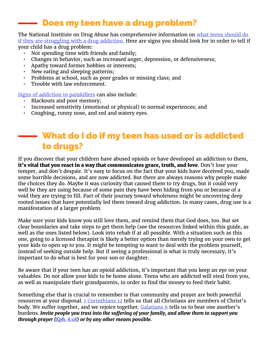### Does my teen have a drug problem?

#### The National Institute on Drug Abuse has comprehensive information on [what teens should do](https://www.drugabuse.gov/related-topics/treatment/what-to-do-if-you-have-problem-drugs-teens-young-adults)  [if they are struggling with a drug addiction.](https://www.drugabuse.gov/related-topics/treatment/what-to-do-if-you-have-problem-drugs-teens-young-adults) Here are signs you should look for in order to tell if your child has a drug problem:

- Not spending time with friends and family;
- Changes in behavior, such as increased anger, depression, or defensiveness;
- Apathy toward former hobbies or interests;
- New eating and sleeping patterns;
- Problems at school, such as poor grades or missing class; and
- Trouble with law enforcement.

[Signs of addiction to painkillers](http://www.drugfreeworld.org/drugfacts/painkillers/warning-signs-of-prescription-painkiller-dependency.html) can also include:

- Blackouts and poor memory;
- Increased sensitivity (emotional or physical) to normal experiences; and
- Coughing, runny nose, and red and watery eyes.

### What do I do if my teen has used or is addicted to drugs?

If you discover that your children have abused opioids or have developed an addiction to them, it's vital that you react in a way that communicates grace, truth, and love. Don't lose your temper, and don't despair. It's easy to focus on the fact that your kids have deceived you, made some horrible decisions, and are now addicted. But there are always reasons why people make the choices they do. Maybe it was curiosity that caused them to try drugs, but it could very well be they are using because of some pain they have been hiding from you or because of a void they are trying to fill. Part of their journey toward wholeness might be uncovering deep rooted issues that have potentially led them toward drug addiction. In many cases, drug use is a manifestation of a larger problem.

Make sure your kids know you still love them, and remind them that God does, too. But set clear boundaries and take steps to get them help (see the resources linked within this guide, as well as the ones listed below). Look into rehab if at all possible. With a situation such as this one, going to a licensed therapist is likely a better option than merely trying on your own to get your kids to open up to you. It might be tempting to want to deal with the problem yourself, instead of seeking outside help. But if seeing a professional is what is truly necessary, it's important to do what is best for your son or daughter.

Be aware that if your teen has an opioid addiction, it's important that you keep an eye on your valuables. Do not allow your kids to be home alone. Teens who are addicted will steal from you, as well as manipulate their grandparents, in order to find the money to feed their habit.

Something else that is crucial to remember is that community and prayer are both powerful resources at your disposal. [1 Corinthians 12](https://www.biblegateway.com/passage/?search=1+corinthians+12&version=NIV) tells us that all Christians are members of Christ's body. We suffer together, and we rejoice together. [Galatians 6](https://www.biblegateway.com/passage/?search=galatians+6&version=NIV) tells us to bear one another's burdens. *Invite people you trust into the suffering of your family, and allow them to support you through prayer ([Eph. 6:18](https://www.biblegateway.com/passage/?search=ephesians+6%3A18&version=NIV)) or by any other means possible.*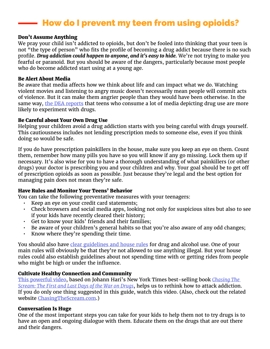### How do I prevent my teen from using opioids?

#### Don't Assume Anything

We pray your child isn't addicted to opioids, but don't be fooled into thinking that your teen is not "the type of person" who fits the profile of becoming a drug addict because there is no such profile. *Drug addiction could happen to anyone, and it's easy to hide.* We're not trying to make you fearful or paranoid. But you should be aware of the dangers, particularly because most people who do become addicted start using at a young age.

#### Be Alert About Media

Be aware that media affects how we think about life and can impact what we do. Watching violent movies and listening to angry music doesn't necessarily mean people will commit acts of violence. But it can make them angrier people than they would have been otherwise. In the same way, [the DEA reports](https://www.dea.gov/pr/multimedia-library/publications/prescription_for_disaster_english.pdf) that teens who consume a lot of media depicting drug use are more likely to experiment with drugs.

#### Be Careful about Your Own Drug Use

Helping your children avoid a drug addiction starts with you being careful with drugs yourself. This cautiousness includes not lending prescription meds to someone else, even if you think doing so would be safe.

If you do have prescription painkillers in the house, make sure you keep an eye on them. Count them, remember how many pills you have so you will know if any go missing. Lock them up if necessary. It's also wise for you to have a thorough understanding of what painkillers (or other drugs) your doctor is prescribing you and your children and why. Your goal should be to get off of prescription opioids as soon as possible. Just because they're legal and the best option for managing pain does not mean they're safe.

#### Have Rules and Monitor Your Teens' Behavior

You can take the following preventative measures with your teenagers:

- Keep an eye on your credit card statements;
- Check browsers and social media apps, looking not only for suspicious sites but also to see if your kids have recently cleared their history;
- Get to know your kids' friends and their families;
- Be aware of your children's general habits so that you're also aware of any odd changes;
- Know where they're spending their time.

You should also have [clear guidelines and house rules](https://www.ncadd.org/family-friends/there-is-help/ten-tips-for-prevention-for-parents) for drug and alcohol use. One of your main rules will obviously be that they're not allowed to use anything illegal. But your house rules could also establish guidelines about not spending time with or getting rides from people who might be high or under the influence.

#### Cultivate Healthy Connection and Community

[This powerful video](https://www.youtube.com/watch?v=ao8L-0nSYzg), based on Johann Hari's New York Times best-selling book *[Chasing The](https://smile.amazon.com/Chasing-Scream-First-Last-Drugs/dp/1620408910/ref=sr_1_1?ie=UTF8&qid=1519842466&sr=8-1&keywords=Chasing+The+Scream%3A+The+First+and+Last+Days+of+the+War+on+Drugs)  [Scream: The First and Last Days of the War on Drugs](https://smile.amazon.com/Chasing-Scream-First-Last-Drugs/dp/1620408910/ref=sr_1_1?ie=UTF8&qid=1519842466&sr=8-1&keywords=Chasing+The+Scream%3A+The+First+and+Last+Days+of+the+War+on+Drugs)*, helps us to rethink how to attack addiction. If you do only one thing suggested in this guide, watch this video. (Also, check out the related website [ChasingTheScream.com.](http://www.chasingthescream.com))

#### Conversation Is Huge

One of the most important steps you can take for your kids to help them not to try drugs is to have an open and ongoing dialogue with them. Educate them on the drugs that are out there and their dangers.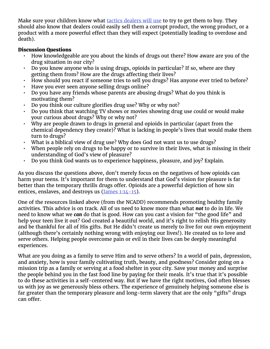Make sure your children know what [tactics dealers will use](https://paradigmmalibu.com/what-drug-dealers-will-tell-teens-to-get-them-hooked/) to try to get them to buy. They should also know that dealers could easily sell them a corrupt product, the wrong product, or a product with a more powerful effect than they will expect (potentially leading to overdose and death).

#### Discussion Questions

- How knowledgeable are you about the kinds of drugs out there? How aware are you of the drug situation in our city?
- Do you know anyone who is using drugs, opioids in particular? If so, where are they getting them from? How are the drugs affecting their lives?
- How should you react if someone tries to sell you drugs? Has anyone ever tried to before?
- Have you ever seen anyone selling drugs online?
- Do you have any friends whose parents are abusing drugs? What do you think is motivating them?
- Do you think our culture glorifies drug use? Why or why not?
- Do you think that watching TV shows or movies showing drug use could or would make your curious about drugs? Why or why not?
- Why are people drawn to drugs in general and opioids in particular (apart from the chemical dependency they create)? What is lacking in people's lives that would make them turn to drugs?
- What is a biblical view of drug use? Why does God not want us to use drugs?
- When people rely on drugs to be happy or to survive in their lives, what is missing in their understanding of God's view of pleasure?
- Do you think God wants us to experience happiness, pleasure, and joy? Explain.

As you discuss the questions above, don't merely focus on the negatives of how opioids can harm your teens. It's important for them to understand that God's vision for pleasure is far better than the temporary thrills drugs offer. Opioids are a powerful depiction of how sin entices, enslaves, and destroys us  $(James 1:14-15)$  $(James 1:14-15)$  $(James 1:14-15)$ .

One of the resources linked above (from the NCADD) recommends promoting healthy family activities. This advice is on track. All of us need to know more than what *not* to do in life. We need to know what we *can* do that is good. How can you cast a vision for "the good life" and help your teen live it out? God created a beautiful world, and it's right to relish His generosity and be thankful for all of His gifts. But He didn't create us merely to live for our own enjoyment (although there's certainly nothing wrong with enjoying our lives!). He created us to love and serve others. Helping people overcome pain or evil in their lives can be deeply meaningful experiences.

What are you doing as a family to serve Him and to serve others? In a world of pain, depression, and anxiety, how is your family cultivating truth, beauty, and goodness? Consider going on a mission trip as a family or serving at a food shelter in your city. Save your money and surprise the people behind you in the fast food line by paying for their meals. It's true that it's possible to do these activities in a self-centered way. But if we have the right motives, God often blesses us with joy as we generously bless others. The experience of genuinely helping someone else is far greater than the temporary pleasure and long-term slavery that are the only "gifts" drugs can offer.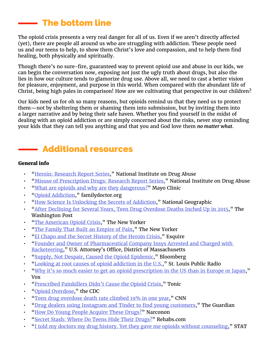### The bottom line

The opioid crisis presents a very real danger for all of us. Even if we aren't directly affected (yet), there are people all around us who are struggling with addiction. These people need us and our teens to help, to show them Christ's love and compassion, and to help them find healing, both physically and spiritually.

Though there's no sure-fire, guaranteed way to prevent opioid use and abuse in our kids, we can begin the conversation now, exposing not just the ugly truth about drugs, but also the lies in how our culture tends to glamorize drug use. Above all, we need to cast a better vision for pleasure, enjoyment, and purpose in this world. When compared with the abundant life of Christ, being high pales in comparison! How are we cultivating that perspective in our children?

Our kids need us for oh so many reasons, but opioids remind us that they need us to protect them—not by sheltering them or shaming them into submission, but by inviting them into a larger narrative and by being their safe haven. Whether you find yourself in the midst of dealing with an opioid addiction or are simply concerned about the risks, never stop reminding your kids that they can tell you anything and that you and God love them *no matter what*.

### Additional resources

### General info

- "[Heroin: Research Report Series](https://www.drugabuse.gov/publications/research-reports/heroin/letter-director)," National Institute on Drug Abuse
- "[Misuse of Prescription Drugs: Research Report Series](https://www.drugabuse.gov/publications/research-reports/misuse-prescription-drugs/summary)," National Institute on Drug Abuse
- "[What are opioids and why are they dangerous?](https://www.mayoclinic.org/what-are-opioids/expert-answers/faq-20381270)" Mayo Clinic
- "[Opioid Addiction](https://familydoctor.org/condition/opioid-addiction/)," familydoctor.org
- "[How Science Is Unlocking the Secrets of Addiction](https://www.nationalgeographic.com/magazine/2017/09/the-addicted-brain/)," National Geographic
- "[After Declining for Several Years, Teen Drug Overdose Deaths Inched Up in 2015](https://www.washingtonpost.com/national/health-science/after-declining-for-several-years-teen-drug-overdose-deaths-inched-up-in-2015/2017/08/18/b5f9883e-8395-11e7-902a-2a9f2d808496_story.html?utm_term=.fda408c03e02)," The Washington Post
- "[The American Opioid Crisis](http://video.newyorker.com/watch/the-american-opioid-crisis)," The New Yorker
- "[The Family That Built an Empire of Pain,](https://www.newyorker.com/magazine/2017/10/30/the-family-that-built-an-empire-of-pain)" The New Yorker
- "[El Chapo and the Secret History of the Heroin Crisis](http://www.esquire.com/news-politics/a46918/heroin-mexico-el-chapo-cartels-don-winslow/)," Esquire
- "[Founder and Owner of Pharmaceutical Company Insys Arrested and Charged with](https://www.justice.gov/usao-ma/pr/founder-and-owner-pharmaceutical-company-insys-arrested-and-charged-racketeering)  [Racketeering](https://www.justice.gov/usao-ma/pr/founder-and-owner-pharmaceutical-company-insys-arrested-and-charged-racketeering)," U.S. Attorney's Office, District of Massachusetts
- "[Supply, Not Despair, Caused the Opioid Epidemic,](https://www.bloomberg.com/view/articles/2018-01-10/supply-not-despair-caused-the-opioid-epidemic)" Bloomberg
- "[Looking at root causes of opioid addiction in the U.S.](http://news.stlpublicradio.org/post/looking-root-causes-opioid-addiction-us-we-physicians-aren-t-properly-educated#stream/0)," St. Louis Public Radio
- "[Why it's so much easier to get an opioid prescription in the US than in Europe or Japan,](https://www.vox.com/policy-and-politics/2017/8/8/16049952/opioid-prescription-us-europe-japan)" Vox
- "[Prescribed Painkillers Didn't Cause the Opioid Crisis,](https://tonic.vice.com/en_us/article/a3z98b/big-pharma-didnt-cause-the-opioid-crisis-most-pain-patients-dont-get-addicted)" Tonic
- "[Opioid Overdose,](https://www.cdc.gov/drugoverdose/epidemic/index.html)" the CDC
- "[Teen drug overdose death rate climbed 19% in one year](http://www.cnn.com/2017/08/16/health/teen-overdose-death-rate/index.html)," CNN
- "[Drug dealers using Instagram and Tinder to find young customers](https://www.theguardian.com/sustainable-business/2016/apr/07/drug-dealers-instagram-tinder-young-customers)," The Guardian
- "[How Do Young People Acquire These Drugs?"](http://www.narconon.org/drug-abuse/prescription/acquiring.html) Narconon
- "[Secret Stash: Where Do Teens Hide Their Drugs?](https://www.rehabs.com/pro-talk-articles/secret-stash-where-do-teens-hide-their-drugs/)" Rehabs.com
- "[I told my doctors my drug history. Yet they gave me opioids without counseling,](https://www.statnews.com/2016/06/09/opioid-prescriptions-addiction/)" STAT